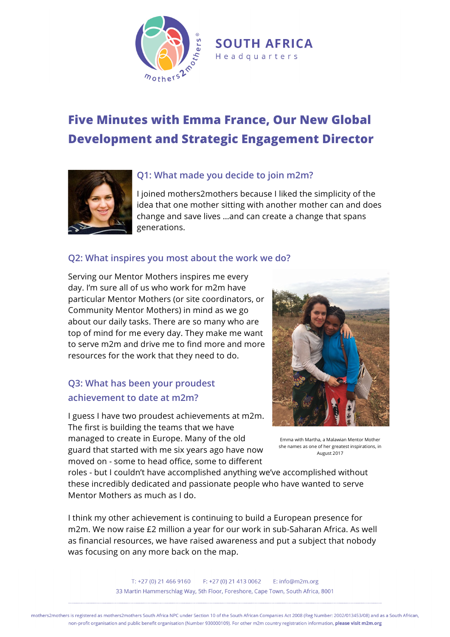

# **Five Minutes with Emma France, Our New Global Development and Strategic Engagement Director**



## **Q1: What made you decide to join m2m?**

I joined mothers2mothers because I liked the simplicity of the idea that one mother sitting with another mother can and does change and save lives …and can create a change that spans generations.

## **Q2: What inspires you most about the work we do?**

Serving our Mentor Mothers inspires me every day. I'm sure all of us who work for m2m have particular Mentor Mothers (or site coordinators, or Community Mentor Mothers) in mind as we go about our daily tasks. There are so many who are top of mind for me every day. They make me want to serve m2m and drive me to find more and more resources for the work that they need to do.

# **Q3: What has been your proudest achievement to date at m2m?**

I guess I have two proudest achievements at m2m. The first is building the teams that we have managed to create in Europe. Many of the old guard that started with me six years ago have now moved on - some to head office, some to different



Emma with Martha, a Malawian Mentor Mother she names as one of her greatest inspirations, in August 2017

roles - but I couldn't have accomplished anything we've accomplished without these incredibly dedicated and passionate people who have wanted to serve Mentor Mothers as much as I do.

I think my other achievement is continuing to build a European presence for m2m. We now raise £2 million a year for our work in sub-Saharan Africa. As well as financial resources, we have raised awareness and put a subject that nobody was focusing on any more back on the map.



mothers2mothers is registered as mothers2mothers South Africa NPC under Section 10 of the South African Companies Act 2008 (Reg Number: 2002/013453/08) and as a South African, non-profit organisation and public benefit organisation (Number 930000109). For other m2m country registration information, please visit m2m.org